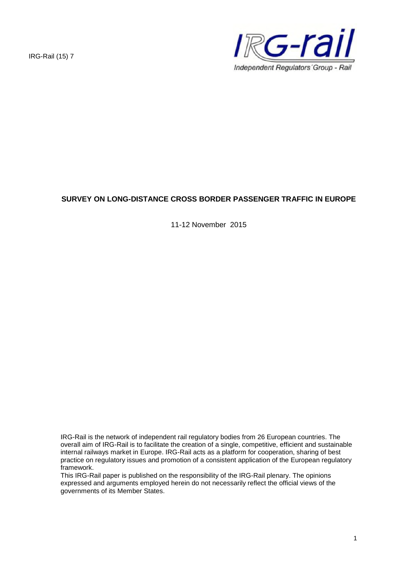IRG-Rail (15) 7



# **SURVEY ON LONG-DISTANCE CROSS BORDER PASSENGER TRAFFIC IN EUROPE**

11-12 November 2015

IRG-Rail is the network of independent rail regulatory bodies from 26 European countries. The overall aim of IRG-Rail is to facilitate the creation of a single, competitive, efficient and sustainable internal railways market in Europe. IRG-Rail acts as a platform for cooperation, sharing of best practice on regulatory issues and promotion of a consistent application of the European regulatory framework.

This IRG-Rail paper is published on the responsibility of the IRG-Rail plenary. The opinions expressed and arguments employed herein do not necessarily reflect the official views of the governments of its Member States.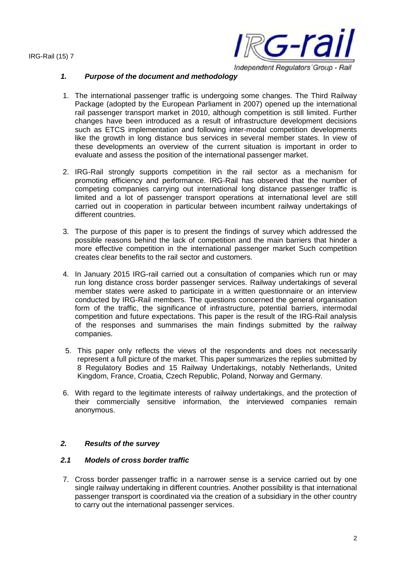

#### *1. Purpose of the document and methodology*

- 1. The international passenger traffic is undergoing some changes. The Third Railway Package (adopted by the European Parliament in 2007) opened up the international rail passenger transport market in 2010, although competition is still limited. Further changes have been introduced as a result of infrastructure development decisions such as ETCS implementation and following inter-modal competition developments like the growth in long distance bus services in several member states. In view of these developments an overview of the current situation is important in order to evaluate and assess the position of the international passenger market.
- 2. IRG-Rail strongly supports competition in the rail sector as a mechanism for promoting efficiency and performance. IRG-Rail has observed that the number of competing companies carrying out international long distance passenger traffic is limited and a lot of passenger transport operations at international level are still carried out in cooperation in particular between incumbent railway undertakings of different countries.
- 3. The purpose of this paper is to present the findings of survey which addressed the possible reasons behind the lack of competition and the main barriers that hinder a more effective competition in the international passenger market Such competition creates clear benefits to the rail sector and customers.
- 4. In January 2015 IRG-rail carried out a consultation of companies which run or may run long distance cross border passenger services. Railway undertakings of several member states were asked to participate in a written questionnaire or an interview conducted by IRG-Rail members. The questions concerned the general organisation form of the traffic, the significance of infrastructure, potential barriers, intermodal competition and future expectations. This paper is the result of the IRG-Rail analysis of the responses and summarises the main findings submitted by the railway companies.
- 5. This paper only reflects the views of the respondents and does not necessarily represent a full picture of the market. This paper summarizes the replies submitted by 8 Regulatory Bodies and 15 Railway Undertakings, notably Netherlands, United Kingdom, France, Croatia, Czech Republic, Poland, Norway and Germany.
- 6. With regard to the legitimate interests of railway undertakings, and the protection of their commercially sensitive information, the interviewed companies remain anonymous.

## *2. Results of the survey*

# *2.1 Models of cross border traffic*

7. Cross border passenger traffic in a narrower sense is a service carried out by one single railway undertaking in different countries. Another possibility is that international passenger transport is coordinated via the creation of a subsidiary in the other country to carry out the international passenger services.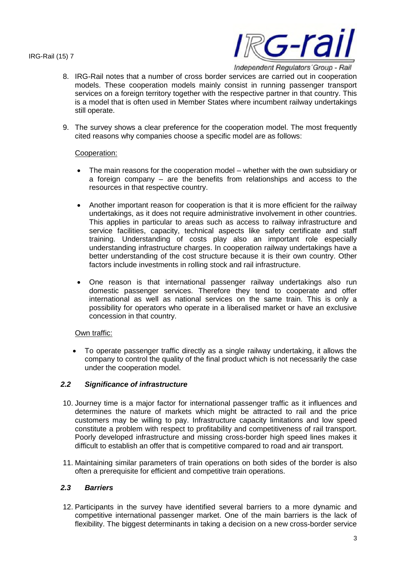

8. IRG-Rail notes that a number of cross border services are carried out in cooperation models. These cooperation models mainly consist in running passenger transport services on a foreign territory together with the respective partner in that country. This is a model that is often used in Member States where incumbent railway undertakings still operate.

9. The survey shows a clear preference for the cooperation model. The most frequently cited reasons why companies choose a specific model are as follows:

#### Cooperation:

- The main reasons for the cooperation model whether with the own subsidiary or a foreign company – are the benefits from relationships and access to the resources in that respective country.
- Another important reason for cooperation is that it is more efficient for the railway undertakings, as it does not require administrative involvement in other countries. This applies in particular to areas such as access to railway infrastructure and service facilities, capacity, technical aspects like safety certificate and staff training. Understanding of costs play also an important role especially understanding infrastructure charges. In cooperation railway undertakings have a better understanding of the cost structure because it is their own country. Other factors include investments in rolling stock and rail infrastructure.
- One reason is that international passenger railway undertakings also run domestic passenger services. Therefore they tend to cooperate and offer international as well as national services on the same train. This is only a possibility for operators who operate in a liberalised market or have an exclusive concession in that country.

## Own traffic:

 To operate passenger traffic directly as a single railway undertaking, it allows the company to control the quality of the final product which is not necessarily the case under the cooperation model.

## *2.2 Significance of infrastructure*

- 10. Journey time is a major factor for international passenger traffic as it influences and determines the nature of markets which might be attracted to rail and the price customers may be willing to pay. Infrastructure capacity limitations and low speed constitute a problem with respect to profitability and competitiveness of rail transport. Poorly developed infrastructure and missing cross-border high speed lines makes it difficult to establish an offer that is competitive compared to road and air transport.
- 11. Maintaining similar parameters of train operations on both sides of the border is also often a prerequisite for efficient and competitive train operations.

## *2.3 Barriers*

12. Participants in the survey have identified several barriers to a more dynamic and competitive international passenger market. One of the main barriers is the lack of flexibility. The biggest determinants in taking a decision on a new cross-border service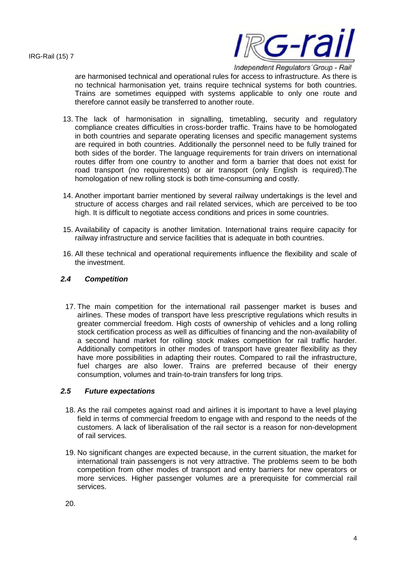

Independent Regulators' Group - Rail

are harmonised technical and operational rules for access to infrastructure. As there is no technical harmonisation yet, trains require technical systems for both countries. Trains are sometimes equipped with systems applicable to only one route and therefore cannot easily be transferred to another route.

- 13. The lack of harmonisation in signalling, timetabling, security and regulatory compliance creates difficulties in cross-border traffic. Trains have to be homologated in both countries and separate operating licenses and specific management systems are required in both countries. Additionally the personnel need to be fully trained for both sides of the border. The language requirements for train drivers on international routes differ from one country to another and form a barrier that does not exist for road transport (no requirements) or air transport (only English is required).The homologation of new rolling stock is both time-consuming and costly.
- 14. Another important barrier mentioned by several railway undertakings is the level and structure of access charges and rail related services, which are perceived to be too high. It is difficult to negotiate access conditions and prices in some countries.
- 15. Availability of capacity is another limitation. International trains require capacity for railway infrastructure and service facilities that is adequate in both countries.
- 16. All these technical and operational requirements influence the flexibility and scale of the investment.

# *2.4 Competition*

17. The main competition for the international rail passenger market is buses and airlines. These modes of transport have less prescriptive regulations which results in greater commercial freedom. High costs of ownership of vehicles and a long rolling stock certification process as well as difficulties of financing and the non-availability of a second hand market for rolling stock makes competition for rail traffic harder. Additionally competitors in other modes of transport have greater flexibility as they have more possibilities in adapting their routes. Compared to rail the infrastructure, fuel charges are also lower. Trains are preferred because of their energy consumption, volumes and train-to-train transfers for long trips.

## *2.5 Future expectations*

- 18. As the rail competes against road and airlines it is important to have a level playing field in terms of commercial freedom to engage with and respond to the needs of the customers. A lack of liberalisation of the rail sector is a reason for non-development of rail services.
- 19. No significant changes are expected because, in the current situation, the market for international train passengers is not very attractive. The problems seem to be both competition from other modes of transport and entry barriers for new operators or more services. Higher passenger volumes are a prerequisite for commercial rail services.